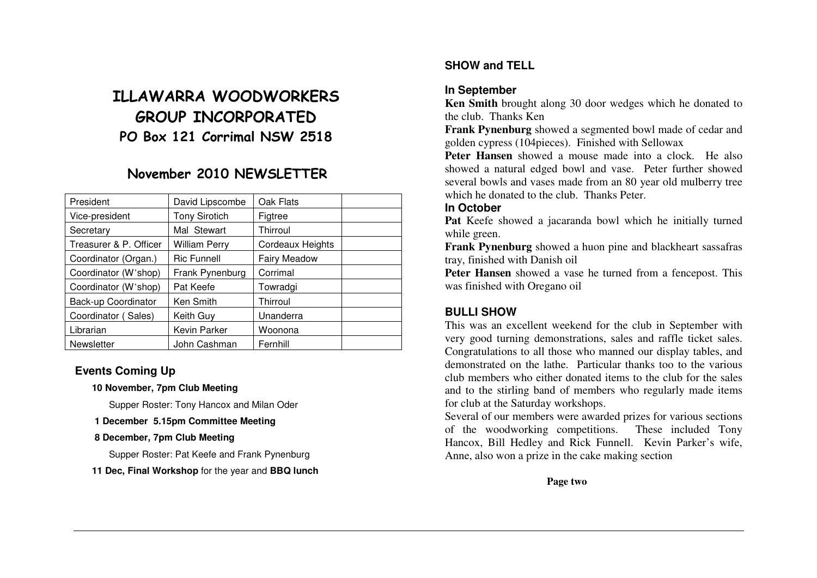# ILLAWARRA WOODWORKERS GROUP INCORPORATED PO Box 121 Corrimal NSW 2518

# November 2010 NEWSLETTER

| President              | David Lipscombe      | Oak Flats           |  |
|------------------------|----------------------|---------------------|--|
| Vice-president         | <b>Tony Sirotich</b> | Figtree             |  |
| Secretary              | Mal Stewart          | Thirroul            |  |
| Treasurer & P. Officer | William Perry        | Cordeaux Heights    |  |
| Coordinator (Organ.)   | <b>Ric Funnell</b>   | <b>Fairy Meadow</b> |  |
| Coordinator (W'shop)   | Frank Pynenburg      | Corrimal            |  |
| Coordinator (W'shop)   | Pat Keefe            | Towradgi            |  |
| Back-up Coordinator    | Ken Smith            | Thirroul            |  |
| Coordinator (Sales)    | Keith Guy            | Unanderra           |  |
| Librarian              | Kevin Parker         | Woonona             |  |
| <b>Newsletter</b>      | John Cashman         | Fernhill            |  |

# **Events Coming Up**

**10 November, 7pm Club Meeting** 

Supper Roster: Tony Hancox and Milan Oder

 **1 December 5.15pm Committee Meeting** 

#### **8 December, 7pm Club Meeting**

Supper Roster: Pat Keefe and Frank Pynenburg

#### **11 Dec, Final Workshop** for the year and **BBQ lunch**

# **SHOW and TELL**

# **In September**

 **Ken Smith** brought along 30 door wedges which he donated to the club. Thanks Ken

 **Frank Pynenburg** showed a segmented bowl made of cedar and golden cypress (104pieces). Finished with Sellowax

 **Peter Hansen** showed a mouse made into a clock. He also showed a natural edged bowl and vase. Peter further showed several bowls and vases made from an 80 year old mulberry tree which he donated to the club. Thanks Peter.

# **In October**

 **Pat** Keefe showed a jacaranda bowl which he initially turned while green.

 **Frank Pynenburg** showed a huon pine and blackheart sassafras tray, finished with Danish oil

 **Peter Hansen** showed a vase he turned from a fencepost. This was finished with Oregano oil

# **BULLI SHOW**

 This was an excellent weekend for the club in September with very good turning demonstrations, sales and raffle ticket sales. Congratulations to all those who manned our display tables, and demonstrated on the lathe. Particular thanks too to the various club members who either donated items to the club for the sales and to the stirling band of members who regularly made items for club at the Saturday workshops.

 Several of our members were awarded prizes for various sections of the woodworking competitions. These included Tony Hancox, Bill Hedley and Rick Funnell. Kevin Parker's wife, Anne, also won a prize in the cake making section

**Page two**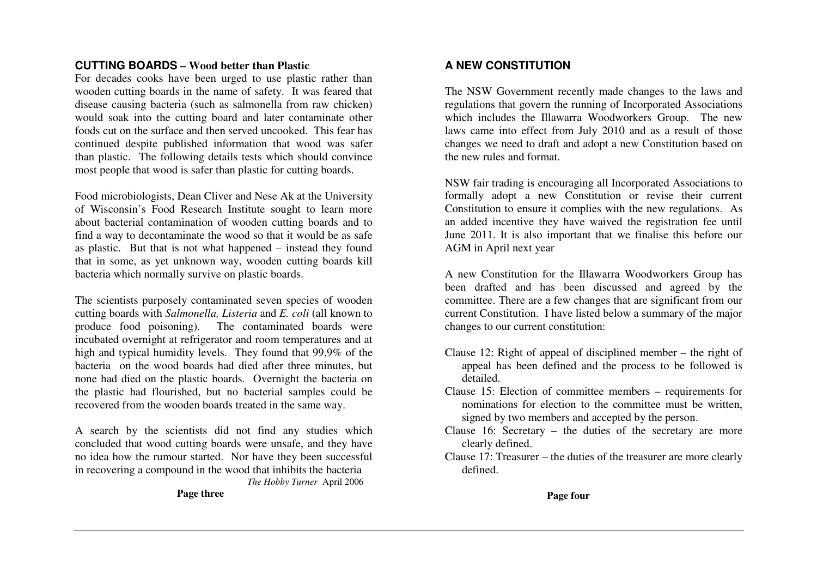## **CUTTING BOARDS – Wood better than Plastic**

 For decades cooks have been urged to use plastic rather than wooden cutting boards in the name of safety. It was feared that disease causing bacteria (such as salmonella from raw chicken) would soak into the cutting board and later contaminate other foods cut on the surface and then served uncooked. This fear has continued despite published information that wood was safer than plastic. The following details tests which should convince most people that wood is safer than plastic for cutting boards.

Food microbiologists, Dean Cliver and Nese Ak at the University of Wisconsin's Food Research Institute sought to learn more about bacterial contamination of wooden cutting boards and to find a way to decontaminate the wood so that it would be as safe as plastic. But that is not what happened – instead they found that in some, as yet unknown way, wooden cutting boards kill bacteria which normally survive on plastic boards.

The scientists purposely contaminated seven species of wooden cutting boards with *Salmonella, Listeria* and *E. coli* (all known to produce food poisoning). The contaminated boards were incubated overnight at refrigerator and room temperatures and at high and typical humidity levels. They found that 99,9% of the bacteria on the wood boards had died after three minutes, but none had died on the plastic boards. Overnight the bacteria on the plastic had flourished, but no bacterial samples could be recovered from the wooden boards treated in the same way.

A search by the scientists did not find any studies which concluded that wood cutting boards were unsafe, and they have no idea how the rumour started. Nor have they been successful in recovering a compound in the wood that inhibits the bacteria  *The Hobby Turner* April 2006

**Page three** 

## **A NEW CONSTITUTION**

The NSW Government recently made changes to the laws and regulations that govern the running of Incorporated Associations which includes the Illawarra Woodworkers Group. The new laws came into effect from July 2010 and as a result of those changes we need to draft and adopt a new Constitution based on the new rules and format.

NSW fair trading is encouraging all Incorporated Associations to formally adopt a new Constitution or revise their current Constitution to ensure it complies with the new regulations. As an added incentive they have waived the registration fee until June 2011. It is also important that we finalise this before our AGM in April next year

A new Constitution for the Illawarra Woodworkers Group has been drafted and has been discussed and agreed by the committee. There are a few changes that are significant from our current Constitution. I have listed below a summary of the major changes to our current constitution:

- Clause 12: Right of appeal of disciplined member the right of appeal has been defined and the process to be followed is detailed.
- Clause 15: Election of committee members requirements for nominations for election to the committee must be written, signed by two members and accepted by the person.
- Clause 16: Secretary the duties of the secretary are more clearly defined.
- Clause 17: Treasurer the duties of the treasurer are more clearly defined.

**Page four**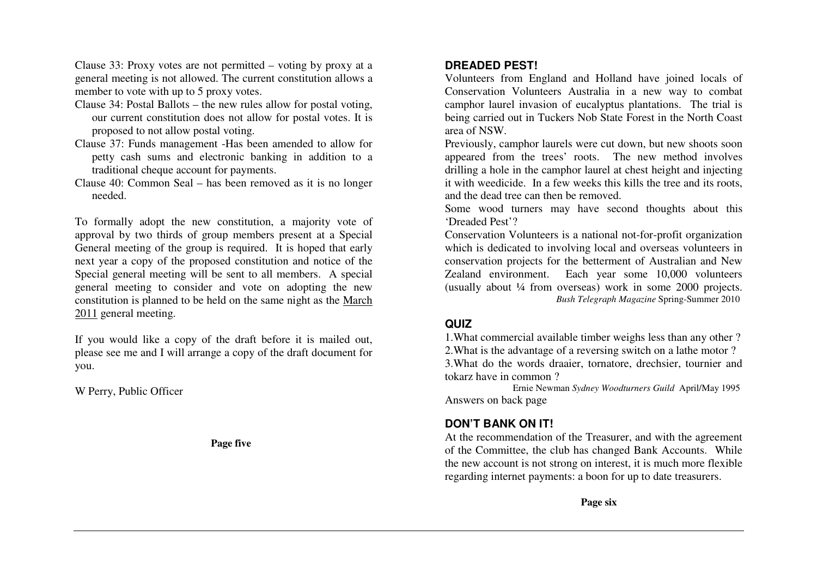Clause 33: Proxy votes are not permitted – voting by proxy at a general meeting is not allowed. The current constitution allows a member to vote with up to 5 proxy votes.

- Clause 34: Postal Ballots the new rules allow for postal voting, our current constitution does not allow for postal votes. It is proposed to not allow postal voting.
- Clause 37: Funds management -Has been amended to allow for petty cash sums and electronic banking in addition to a traditional cheque account for payments.
- Clause 40: Common Seal has been removed as it is no longer needed.

To formally adopt the new constitution, a majority vote of approval by two thirds of group members present at a Special General meeting of the group is required. It is hoped that early next year a copy of the proposed constitution and notice of the Special general meeting will be sent to all members. A special general meeting to consider and vote on adopting the new constitution is planned to be held on the same night as the March 2011 general meeting.

If you would like a copy of the draft before it is mailed out, please see me and I will arrange a copy of the draft document for you.

W Perry, Public Officer

 **Page five** 

## **DREADED PEST!**

 Volunteers from England and Holland have joined locals of Conservation Volunteers Australia in a new way to combat camphor laurel invasion of eucalyptus plantations. The trial is being carried out in Tuckers Nob State Forest in the North Coast area of NSW.

Previously, camphor laurels were cut down, but new shoots soon appeared from the trees' roots. The new method involves drilling a hole in the camphor laurel at chest height and injecting it with weedicide. In a few weeks this kills the tree and its roots, and the dead tree can then be removed.

 Some wood turners may have second thoughts about this 'Dreaded Pest'?

 Conservation Volunteers is a national not-for-profit organization which is dedicated to involving local and overseas volunteers in conservation projects for the betterment of Australian and New Zealand environment. Each year some 10,000 volunteers (usually about ¼ from overseas) work in some 2000 projects.  *Bush Telegraph Magazine* Spring-Summer 2010

#### **QUIZ**

 1.What commercial available timber weighs less than any other ? 2.What is the advantage of a reversing switch on a lathe motor ? 3.What do the words draaier, tornatore, drechsier, tournier and tokarz have in common ?

 Ernie Newman *Sydney Woodturners Guild* April/May 1995 Answers on back page

## **DON'T BANK ON IT!**

 At the recommendation of the Treasurer, and with the agreement of the Committee, the club has changed Bank Accounts. While the new account is not strong on interest, it is much more flexible regarding internet payments: a boon for up to date treasurers.

**Page six**